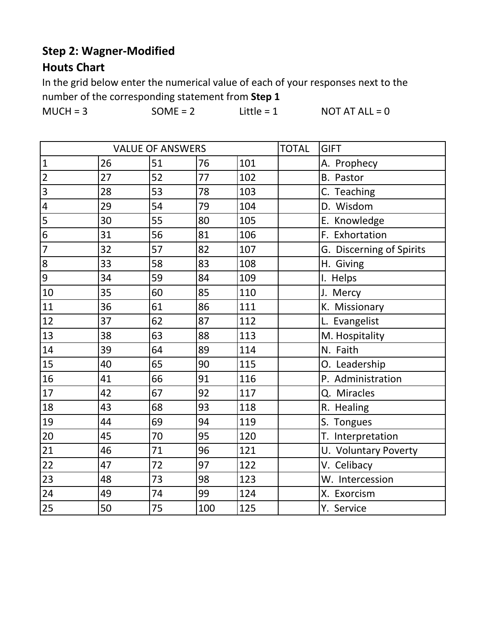## **Step 2: Wagner-Modified**

## **Houts Chart**

In the grid below enter the numerical value of each of your responses next to the number of the corresponding statement from **Step 1**

 $MUCH = 3$   $SOME = 2$   $Little = 1$   $NOT AT ALL = 0$ 

|                |    | <b>VALUE OF ANSWERS</b> |     |     | <b>TOTAL</b> | <b>GIFT</b>              |
|----------------|----|-------------------------|-----|-----|--------------|--------------------------|
|                |    |                         |     |     |              |                          |
| $\mathbf{1}$   | 26 | 51                      | 76  | 101 |              | A. Prophecy              |
| $\overline{2}$ | 27 | 52                      | 77  | 102 |              | <b>B.</b> Pastor         |
| 3              | 28 | 53                      | 78  | 103 |              | C. Teaching              |
| 4              | 29 | 54                      | 79  | 104 |              | D. Wisdom                |
| 5              | 30 | 55                      | 80  | 105 |              | E. Knowledge             |
| 6              | 31 | 56                      | 81  | 106 |              | F. Exhortation           |
| $\overline{7}$ | 32 | 57                      | 82  | 107 |              | G. Discerning of Spirits |
| 8              | 33 | 58                      | 83  | 108 |              | H. Giving                |
| 9              | 34 | 59                      | 84  | 109 |              | I. Helps                 |
| 10             | 35 | 60                      | 85  | 110 |              | J. Mercy                 |
| 11             | 36 | 61                      | 86  | 111 |              | K. Missionary            |
| 12             | 37 | 62                      | 87  | 112 |              | L. Evangelist            |
| 13             | 38 | 63                      | 88  | 113 |              | M. Hospitality           |
| 14             | 39 | 64                      | 89  | 114 |              | N. Faith                 |
| 15             | 40 | 65                      | 90  | 115 |              | O. Leadership            |
| 16             | 41 | 66                      | 91  | 116 |              | P. Administration        |
| 17             | 42 | 67                      | 92  | 117 |              | Q. Miracles              |
| 18             | 43 | 68                      | 93  | 118 |              | R. Healing               |
| 19             | 44 | 69                      | 94  | 119 |              | S. Tongues               |
| 20             | 45 | 70                      | 95  | 120 |              | T. Interpretation        |
| 21             | 46 | 71                      | 96  | 121 |              | U. Voluntary Poverty     |
| 22             | 47 | 72                      | 97  | 122 |              | V. Celibacy              |
| 23             | 48 | 73                      | 98  | 123 |              | W. Intercession          |
| 24             | 49 | 74                      | 99  | 124 |              | X. Exorcism              |
| 25             | 50 | 75                      | 100 | 125 |              | Y. Service               |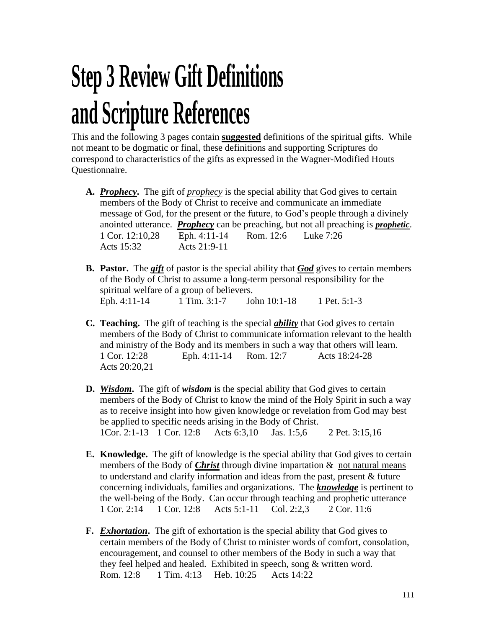## **Step 3 Review Gift Definitions and Scripture References**

This and the following 3 pages contain **suggested** definitions of the spiritual gifts. While not meant to be dogmatic or final, these definitions and supporting Scriptures do correspond to characteristics of the gifts as expressed in the Wagner-Modified Houts Questionnaire.

- **A.** *Prophecy***.** The gift of *prophecy* is the special ability that God gives to certain members of the Body of Christ to receive and communicate an immediate message of God, for the present or the future, to God's people through a divinely anointed utterance. *Prophecy* can be preaching, but not all preaching is *prophetic*. 1 Cor. 12:10,28 Eph. 4:11-14 Rom. 12:6 Luke 7:26 Acts 15:32 Acts 21:9-11
- **B. Pastor.** The *gift* of pastor is the special ability that *God* gives to certain members of the Body of Christ to assume a long-term personal responsibility for the spiritual welfare of a group of believers. Eph. 4:11-14 1 Tim. 3:1-7 John 10:1-18 1 Pet. 5:1-3
- **C. Teaching.** The gift of teaching is the special *ability* that God gives to certain members of the Body of Christ to communicate information relevant to the health and ministry of the Body and its members in such a way that others will learn. 1 Cor. 12:28 Eph. 4:11-14 Rom. 12:7 Acts 18:24-28 Acts 20:20,21
- **D.** *Wisdom***.** The gift of *wisdom* is the special ability that God gives to certain members of the Body of Christ to know the mind of the Holy Spirit in such a way as to receive insight into how given knowledge or revelation from God may best be applied to specific needs arising in the Body of Christ. 1Cor. 2:1-13 1 Cor. 12:8 Acts 6:3,10 Jas. 1:5,6 2 Pet. 3:15,16
- **E. Knowledge.** The gift of knowledge is the special ability that God gives to certain members of the Body of *Christ* through divine impartation & not natural means to understand and clarify information and ideas from the past, present & future concerning individuals, families and organizations. The *knowledge* is pertinent to the well-being of the Body. Can occur through teaching and prophetic utterance 1 Cor. 2:14 1 Cor. 12:8 Acts 5:1-11 Col. 2:2,3 2 Cor. 11:6
- **F.** *Exhortation***.** The gift of exhortation is the special ability that God gives to certain members of the Body of Christ to minister words of comfort, consolation, encouragement, and counsel to other members of the Body in such a way that they feel helped and healed. Exhibited in speech, song & written word. Rom. 12:8 1 Tim. 4:13 Heb. 10:25 Acts 14:22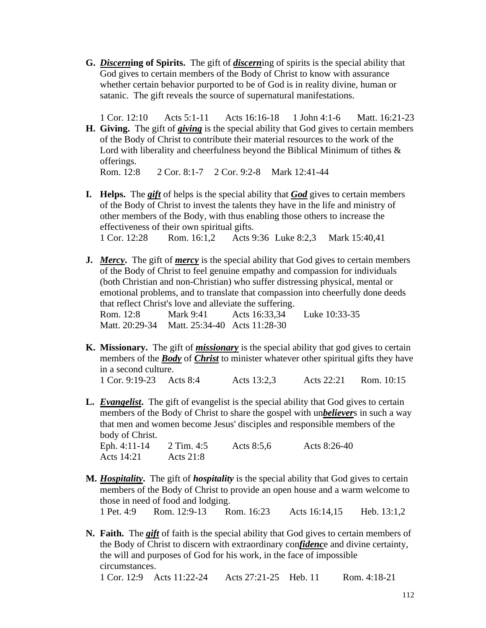**G.** *Discern***ing of Spirits.** The gift of *discern*ing of spirits is the special ability that God gives to certain members of the Body of Christ to know with assurance whether certain behavior purported to be of God is in reality divine, human or satanic. The gift reveals the source of supernatural manifestations.

1 Cor. 12:10 Acts 5:1-11 Acts 16:16-18 1 John 4:1-6 Matt. 16:21-23 **H. Giving.** The gift of *giving* is the special ability that God gives to certain members of the Body of Christ to contribute their material resources to the work of the Lord with liberality and cheerfulness beyond the Biblical Minimum of tithes & offerings.

Rom. 12:8 2 Cor. 8:1-7 2 Cor. 9:2-8 Mark 12:41-44

- **I. Helps.** The *gift* of helps is the special ability that *God* gives to certain members of the Body of Christ to invest the talents they have in the life and ministry of other members of the Body, with thus enabling those others to increase the effectiveness of their own spiritual gifts.<br>1 Cor. 12:28 Rom. 16:1,2 Acts 9 Rom. 16:1,2 Acts 9:36 Luke 8:2,3 Mark 15:40,41
- **J.** *Mercy***.** The gift of *mercy* is the special ability that God gives to certain members of the Body of Christ to feel genuine empathy and compassion for individuals (both Christian and non-Christian) who suffer distressing physical, mental or emotional problems, and to translate that compassion into cheerfully done deeds that reflect Christ's love and alleviate the suffering. Rom. 12:8 Mark 9:41 Acts 16:33,34 Luke 10:33-35 Matt. 20:29-34 Matt. 25:34-40 Acts 11:28-30
- **K. Missionary.** The gift of *missionary* is the special ability that god gives to certain members of the *Body* of *Christ* to minister whatever other spiritual gifts they have in a second culture.

1 Cor. 9:19-23 Acts 8:4 Acts 13:2,3 Acts 22:21 Rom. 10:15

- **L.** *Evangelist***.** The gift of evangelist is the special ability that God gives to certain members of the Body of Christ to share the gospel with un*believer*s in such a way that men and women become Jesus' disciples and responsible members of the body of Christ. Eph. 4:11-14 2 Tim. 4:5 Acts 8:5,6 Acts 8:26-40
- **M.** *Hospitality***.** The gift of *hospitality* is the special ability that God gives to certain members of the Body of Christ to provide an open house and a warm welcome to those in need of food and lodging.

Acts 14:21 Acts 21:8

1 Pet. 4:9 Rom. 12:9-13 Rom. 16:23 Acts 16:14,15 Heb. 13:1,2

**N. Faith.** The *gift* of faith is the special ability that God gives to certain members of the Body of Christ to discern with extraordinary con*fidenc*e and divine certainty, the will and purposes of God for his work, in the face of impossible circumstances.

1 Cor. 12:9 Acts 11:22-24 Acts 27:21-25 Heb. 11 Rom. 4:18-21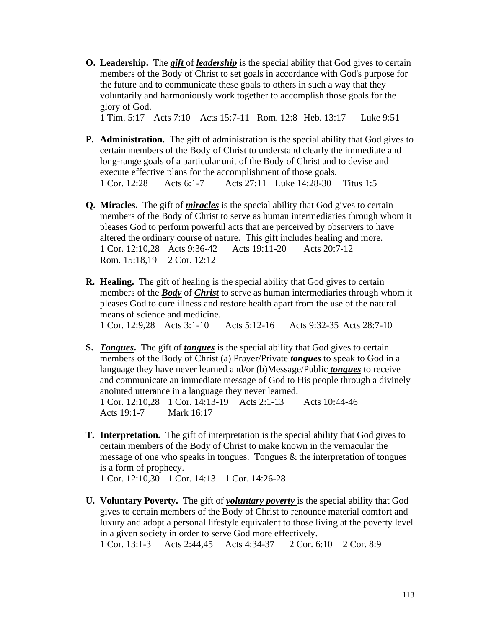**O. Leadership.** The *gift* of *leadership* is the special ability that God gives to certain members of the Body of Christ to set goals in accordance with God's purpose for the future and to communicate these goals to others in such a way that they voluntarily and harmoniously work together to accomplish those goals for the glory of God.

1 Tim. 5:17 Acts 7:10 Acts 15:7-11 Rom. 12:8 Heb. 13:17 Luke 9:51

- **P. Administration.** The gift of administration is the special ability that God gives to certain members of the Body of Christ to understand clearly the immediate and long-range goals of a particular unit of the Body of Christ and to devise and execute effective plans for the accomplishment of those goals. 1 Cor. 12:28 Acts 6:1-7 Acts 27:11 Luke 14:28-30 Titus 1:5
- **Q. Miracles.** The gift of *miracles* is the special ability that God gives to certain members of the Body of Christ to serve as human intermediaries through whom it pleases God to perform powerful acts that are perceived by observers to have altered the ordinary course of nature. This gift includes healing and more. 1 Cor. 12:10,28 Acts 9:36-42 Acts 19:11-20 Acts 20:7-12 Rom. 15:18,19 2 Cor. 12:12
- **R. Healing.** The gift of healing is the special ability that God gives to certain members of the *Body* of *Christ* to serve as human intermediaries through whom it pleases God to cure illness and restore health apart from the use of the natural means of science and medicine.

1 Cor. 12:9,28 Acts 3:1-10 Acts 5:12-16 Acts 9:32-35 Acts 28:7-10

- **S.** *Tongues***.** The gift of *tongues* is the special ability that God gives to certain members of the Body of Christ (a) Prayer/Private *tongues* to speak to God in a language they have never learned and/or (b)Message/Public *tongues* to receive and communicate an immediate message of God to His people through a divinely anointed utterance in a language they never learned. 1 Cor. 12:10,28 1 Cor. 14:13-19 Acts 2:1-13 Acts 10:44-46 Acts 19:1-7 Mark 16:17
- **T. Interpretation.** The gift of interpretation is the special ability that God gives to certain members of the Body of Christ to make known in the vernacular the message of one who speaks in tongues. Tongues  $\&$  the interpretation of tongues is a form of prophecy. 1 Cor. 12:10,30 1 Cor. 14:13 1 Cor. 14:26-28
- **U. Voluntary Poverty.** The gift of *voluntary poverty* is the special ability that God gives to certain members of the Body of Christ to renounce material comfort and luxury and adopt a personal lifestyle equivalent to those living at the poverty level in a given society in order to serve God more effectively. 1 Cor. 13:1-3 Acts 2:44,45 Acts 4:34-37 2 Cor. 6:10 2 Cor. 8:9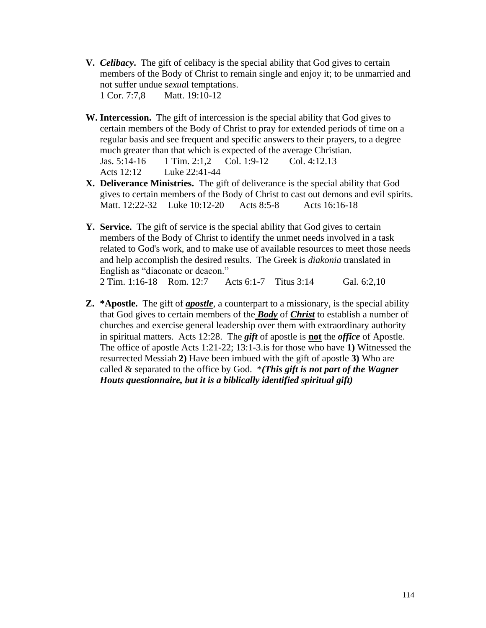- **V.** *Celibacy***.** The gift of celibacy is the special ability that God gives to certain members of the Body of Christ to remain single and enjoy it; to be unmarried and not suffer undue s*exua*l temptations. 1 Cor. 7:7,8 Matt. 19:10-12
- **W. Intercession.** The gift of intercession is the special ability that God gives to certain members of the Body of Christ to pray for extended periods of time on a regular basis and see frequent and specific answers to their prayers, to a degree much greater than that which is expected of the average Christian. Jas. 5:14-16 1 Tim. 2:1,2 Col. 1:9-12 Col. 4:12.13 Acts 12:12 Luke 22:41-44
- **X. Deliverance Ministries.** The gift of deliverance is the special ability that God gives to certain members of the Body of Christ to cast out demons and evil spirits. Matt. 12:22-32 Luke 10:12-20 Acts 8:5-8 Acts 16:16-18
- **Y. Service.** The gift of service is the special ability that God gives to certain members of the Body of Christ to identify the unmet needs involved in a task related to God's work, and to make use of available resources to meet those needs and help accomplish the desired results. The Greek is *diakonia* translated in English as "diaconate or deacon." 2 Tim. 1:16-18 Rom. 12:7 Acts 6:1-7 Titus 3:14 Gal. 6:2,10
- **Z. \*Apostle.** The gift of *apostle*, a counterpart to a missionary, is the special ability that God gives to certain members of the *Body* of *Christ* to establish a number of churches and exercise general leadership over them with extraordinary authority in spiritual matters. Acts 12:28. The *gift* of apostle is **not** the *office* of Apostle. The office of apostle Acts 1:21-22; 13:1-3.is for those who have **1)** Witnessed the resurrected Messiah **2)** Have been imbued with the gift of apostle **3)** Who are called & separated to the office by God. \**(This gift is not part of the Wagner Houts questionnaire, but it is a biblically identified spiritual gift)*